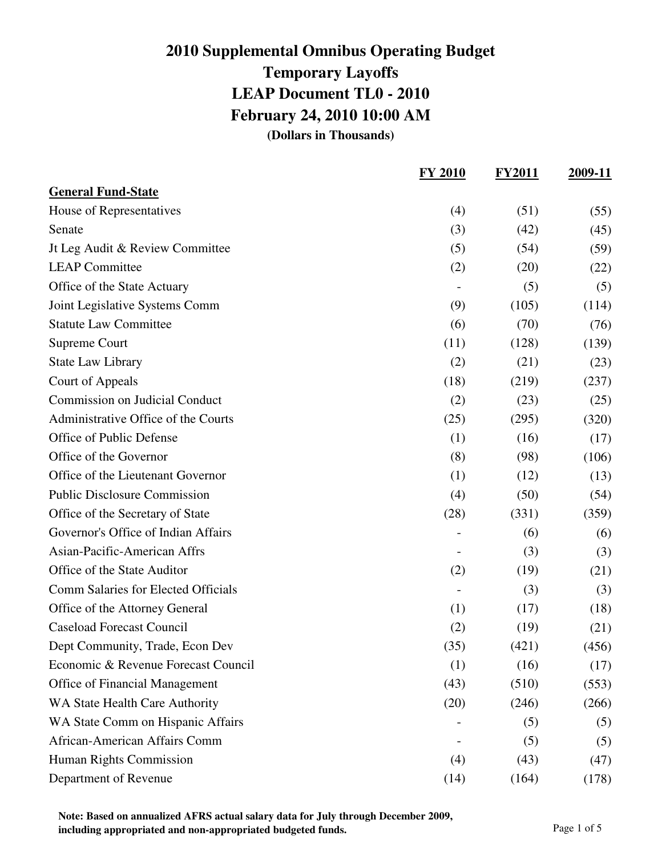|                                            | <b>FY 2010</b> | <b>FY2011</b> | 2009-11 |
|--------------------------------------------|----------------|---------------|---------|
| <b>General Fund-State</b>                  |                |               |         |
| House of Representatives                   | (4)            | (51)          | (55)    |
| Senate                                     | (3)            | (42)          | (45)    |
| It Leg Audit & Review Committee            | (5)            | (54)          | (59)    |
| <b>LEAP Committee</b>                      | (2)            | (20)          | (22)    |
| Office of the State Actuary                |                | (5)           | (5)     |
| Joint Legislative Systems Comm             | (9)            | (105)         | (114)   |
| <b>Statute Law Committee</b>               | (6)            | (70)          | (76)    |
| Supreme Court                              | (11)           | (128)         | (139)   |
| <b>State Law Library</b>                   | (2)            | (21)          | (23)    |
| Court of Appeals                           | (18)           | (219)         | (237)   |
| <b>Commission on Judicial Conduct</b>      | (2)            | (23)          | (25)    |
| Administrative Office of the Courts        | (25)           | (295)         | (320)   |
| Office of Public Defense                   | (1)            | (16)          | (17)    |
| Office of the Governor                     | (8)            | (98)          | (106)   |
| Office of the Lieutenant Governor          | (1)            | (12)          | (13)    |
| <b>Public Disclosure Commission</b>        | (4)            | (50)          | (54)    |
| Office of the Secretary of State           | (28)           | (331)         | (359)   |
| Governor's Office of Indian Affairs        |                | (6)           | (6)     |
| Asian-Pacific-American Affrs               |                | (3)           | (3)     |
| Office of the State Auditor                | (2)            | (19)          | (21)    |
| <b>Comm Salaries for Elected Officials</b> |                | (3)           | (3)     |
| Office of the Attorney General             | (1)            | (17)          | (18)    |
| <b>Caseload Forecast Council</b>           | (2)            | (19)          | (21)    |
| Dept Community, Trade, Econ Dev            | (35)           | (421)         | (456)   |
| Economic & Revenue Forecast Council        | (1)            | (16)          | (17)    |
| Office of Financial Management             | (43)           | (510)         | (553)   |
| WA State Health Care Authority             | (20)           | (246)         | (266)   |
| WA State Comm on Hispanic Affairs          |                | (5)           | (5)     |
| African-American Affairs Comm              |                | (5)           | (5)     |
| Human Rights Commission                    | (4)            | (43)          | (47)    |
| Department of Revenue                      | (14)           | (164)         | (178)   |

**Note: Based on annualized AFRS actual salary data for July through December 2009, including appropriated and non-appropriated budgeted funds.** Page 1 of 5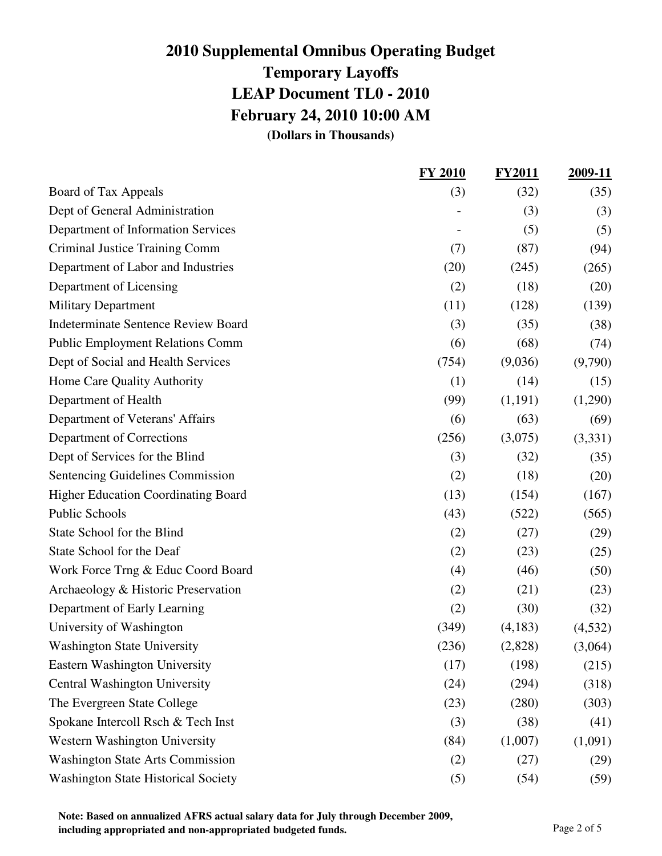|                                            | <b>FY 2010</b> | <b>FY2011</b> | 2009-11 |
|--------------------------------------------|----------------|---------------|---------|
| Board of Tax Appeals                       | (3)            | (32)          | (35)    |
| Dept of General Administration             |                | (3)           | (3)     |
| Department of Information Services         |                | (5)           | (5)     |
| Criminal Justice Training Comm             | (7)            | (87)          | (94)    |
| Department of Labor and Industries         | (20)           | (245)         | (265)   |
| Department of Licensing                    | (2)            | (18)          | (20)    |
| <b>Military Department</b>                 | (11)           | (128)         | (139)   |
| <b>Indeterminate Sentence Review Board</b> | (3)            | (35)          | (38)    |
| <b>Public Employment Relations Comm</b>    | (6)            | (68)          | (74)    |
| Dept of Social and Health Services         | (754)          | (9,036)       | (9,790) |
| Home Care Quality Authority                | (1)            | (14)          | (15)    |
| Department of Health                       | (99)           | (1,191)       | (1,290) |
| Department of Veterans' Affairs            | (6)            | (63)          | (69)    |
| Department of Corrections                  | (256)          | (3,075)       | (3,331) |
| Dept of Services for the Blind             | (3)            | (32)          | (35)    |
| <b>Sentencing Guidelines Commission</b>    | (2)            | (18)          | (20)    |
| <b>Higher Education Coordinating Board</b> | (13)           | (154)         | (167)   |
| <b>Public Schools</b>                      | (43)           | (522)         | (565)   |
| State School for the Blind                 | (2)            | (27)          | (29)    |
| State School for the Deaf                  | (2)            | (23)          | (25)    |
| Work Force Trng & Educ Coord Board         | (4)            | (46)          | (50)    |
| Archaeology & Historic Preservation        | (2)            | (21)          | (23)    |
| Department of Early Learning               | (2)            | (30)          | (32)    |
| University of Washington                   | (349)          | (4,183)       | (4,532) |
| <b>Washington State University</b>         | (236)          | (2,828)       | (3,064) |
| Eastern Washington University              | (17)           | (198)         | (215)   |
| <b>Central Washington University</b>       | (24)           | (294)         | (318)   |
| The Evergreen State College                | (23)           | (280)         | (303)   |
| Spokane Intercoll Rsch & Tech Inst         | (3)            | (38)          | (41)    |
| Western Washington University              | (84)           | (1,007)       | (1,091) |
| <b>Washington State Arts Commission</b>    | (2)            | (27)          | (29)    |
| <b>Washington State Historical Society</b> | (5)            | (54)          | (59)    |

**Note: Based on annualized AFRS actual salary data for July through December 2009, including appropriated and non-appropriated budgeted funds.** Page 2 of 5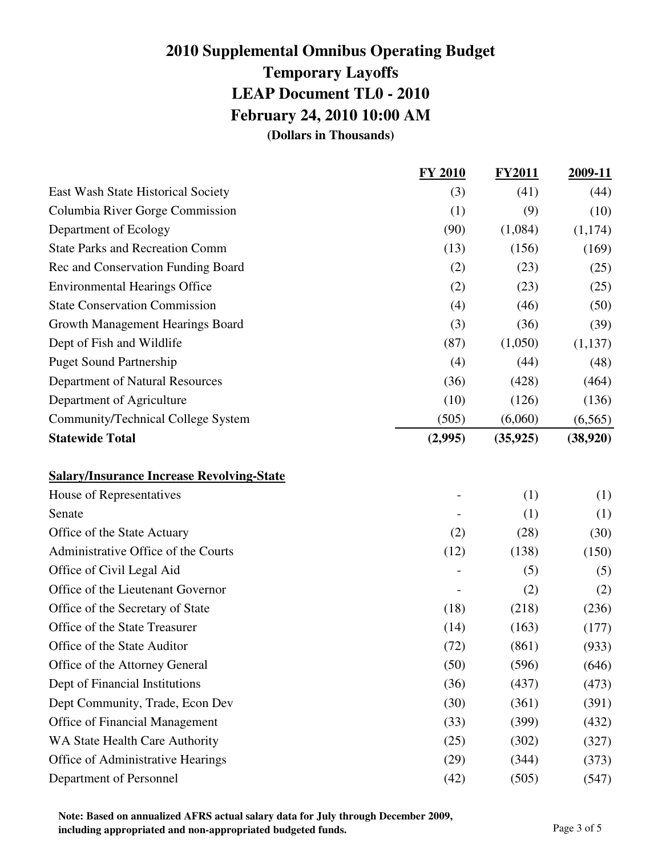|                                                  | <b>FY 2010</b> | <b>FY2011</b> | 2009-11  |
|--------------------------------------------------|----------------|---------------|----------|
| East Wash State Historical Society               | (3)            | (41)          | (44)     |
| Columbia River Gorge Commission                  | (1)            | (9)           | (10)     |
| Department of Ecology                            | (90)           | (1,084)       | (1,174)  |
| <b>State Parks and Recreation Comm</b>           | (13)           | (156)         | (169)    |
| Rec and Conservation Funding Board               | (2)            | (23)          | (25)     |
| <b>Environmental Hearings Office</b>             | (2)            | (23)          | (25)     |
| <b>State Conservation Commission</b>             | (4)            | (46)          | (50)     |
| Growth Management Hearings Board                 | (3)            | (36)          | (39)     |
| Dept of Fish and Wildlife                        | (87)           | (1,050)       | (1,137)  |
| <b>Puget Sound Partnership</b>                   | (4)            | (44)          | (48)     |
| <b>Department of Natural Resources</b>           | (36)           | (428)         | (464)    |
| Department of Agriculture                        | (10)           | (126)         | (136)    |
| Community/Technical College System               | (505)          | (6,060)       | (6,565)  |
| <b>Statewide Total</b>                           | (2,995)        | (35, 925)     | (38,920) |
| <b>Salary/Insurance Increase Revolving-State</b> |                |               |          |
| House of Representatives                         |                | (1)           | (1)      |
| Senate                                           |                | (1)           | (1)      |
| Office of the State Actuary                      | (2)            | (28)          | (30)     |
| Administrative Office of the Courts              | (12)           | (138)         | (150)    |
| Office of Civil Legal Aid                        |                | (5)           | (5)      |
| Office of the Lieutenant Governor                |                | (2)           | (2)      |
| Office of the Secretary of State                 | (18)           | (218)         | (236)    |
| Office of the State Treasurer                    | (14)           | (163)         | (177)    |
| Office of the State Auditor                      | (72)           | (861)         | (933)    |
| Office of the Attorney General                   | (50)           | (596)         | (646)    |
| Dept of Financial Institutions                   | (36)           | (437)         | (473)    |
| Dept Community, Trade, Econ Dev                  | (30)           | (361)         | (391)    |
| Office of Financial Management                   | (33)           | (399)         | (432)    |
| WA State Health Care Authority                   | (25)           | (302)         | (327)    |
| Office of Administrative Hearings                | (29)           | (344)         | (373)    |
| Department of Personnel                          | (42)           | (505)         | (547)    |

**Note: Based on annualized AFRS actual salary data for July through December 2009, including appropriated and non-appropriated budgeted funds.** Page 3 of 5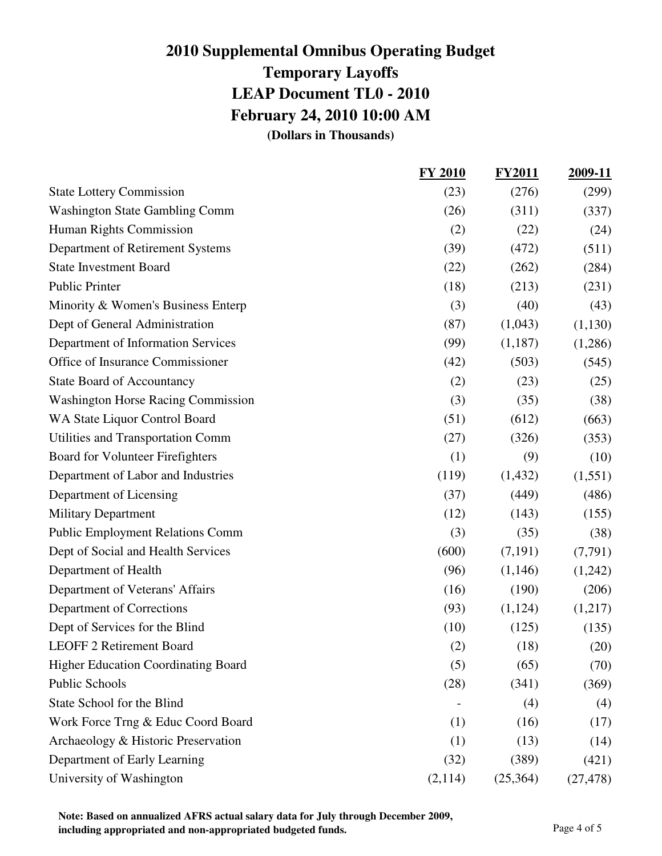|                                            | <b>FY 2010</b> | <b>FY2011</b> | 2009-11   |
|--------------------------------------------|----------------|---------------|-----------|
| <b>State Lottery Commission</b>            | (23)           | (276)         | (299)     |
| <b>Washington State Gambling Comm</b>      | (26)           | (311)         | (337)     |
| Human Rights Commission                    | (2)            | (22)          | (24)      |
| Department of Retirement Systems           | (39)           | (472)         | (511)     |
| <b>State Investment Board</b>              | (22)           | (262)         | (284)     |
| <b>Public Printer</b>                      | (18)           | (213)         | (231)     |
| Minority & Women's Business Enterp         | (3)            | (40)          | (43)      |
| Dept of General Administration             | (87)           | (1,043)       | (1,130)   |
| Department of Information Services         | (99)           | (1,187)       | (1,286)   |
| Office of Insurance Commissioner           | (42)           | (503)         | (545)     |
| <b>State Board of Accountancy</b>          | (2)            | (23)          | (25)      |
| <b>Washington Horse Racing Commission</b>  | (3)            | (35)          | (38)      |
| WA State Liquor Control Board              | (51)           | (612)         | (663)     |
| Utilities and Transportation Comm          | (27)           | (326)         | (353)     |
| Board for Volunteer Firefighters           | (1)            | (9)           | (10)      |
| Department of Labor and Industries         | (119)          | (1, 432)      | (1,551)   |
| Department of Licensing                    | (37)           | (449)         | (486)     |
| <b>Military Department</b>                 | (12)           | (143)         | (155)     |
| <b>Public Employment Relations Comm</b>    | (3)            | (35)          | (38)      |
| Dept of Social and Health Services         | (600)          | (7,191)       | (7,791)   |
| Department of Health                       | (96)           | (1,146)       | (1,242)   |
| Department of Veterans' Affairs            | (16)           | (190)         | (206)     |
| Department of Corrections                  | (93)           | (1,124)       | (1,217)   |
| Dept of Services for the Blind             | (10)           | (125)         | (135)     |
| LEOFF 2 Retirement Board                   | (2)            | (18)          | (20)      |
| <b>Higher Education Coordinating Board</b> | (5)            | (65)          | (70)      |
| Public Schools                             | (28)           | (341)         | (369)     |
| State School for the Blind                 |                | (4)           | (4)       |
| Work Force Trng & Educ Coord Board         | (1)            | (16)          | (17)      |
| Archaeology & Historic Preservation        | (1)            | (13)          | (14)      |
| Department of Early Learning               | (32)           | (389)         | (421)     |
| University of Washington                   | (2,114)        | (25, 364)     | (27, 478) |

**Note: Based on annualized AFRS actual salary data for July through December 2009, including appropriated and non-appropriated budgeted funds.** Page 4 of 5